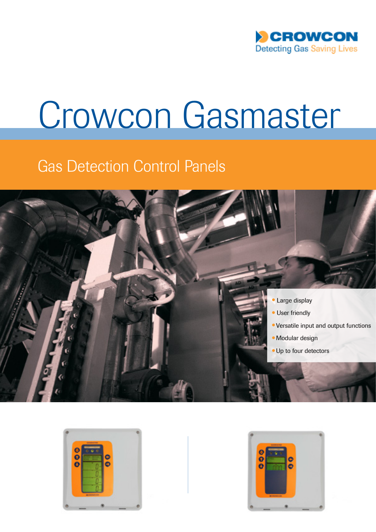

# Crowcon Gasmaster

# Gas Detection Control Panels





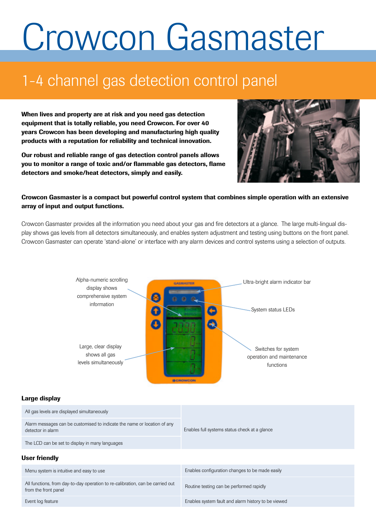# Crowcon Gasmaster

# 1-4 channel gas detection control panel

When lives and property are at risk and you need gas detection equipment that is totally reliable, you need Crowcon. For over 40 years Crowcon has been developing and manufacturing high quality products with a reputation for reliability and technical innovation.

Our robust and reliable range of gas detection control panels allows you to monitor a range of toxic and/or flammable gas detectors, flame detectors and smoke/heat detectors, simply and easily.



## Crowcon Gasmaster is a compact but powerful control system that combines simple operation with an extensive array of input and output functions.

Crowcon Gasmaster provides all the information you need about your gas and fire detectors at a glance. The large multi-lingual display shows gas levels from all detectors simultaneously, and enables system adjustment and testing using buttons on the front panel. Crowcon Gasmaster can operate 'stand-alone' or interface with any alarm devices and control systems using a selection of outputs.



#### Large display

| All gas levels are displayed simultaneously                                                            | Enables full systems status check at a glance       |  |  |  |
|--------------------------------------------------------------------------------------------------------|-----------------------------------------------------|--|--|--|
| Alarm messages can be customised to indicate the name or location of any<br>detector in alarm          |                                                     |  |  |  |
| The LCD can be set to display in many languages                                                        |                                                     |  |  |  |
| <b>User friendly</b>                                                                                   |                                                     |  |  |  |
| Menu system is intuitive and easy to use                                                               | Enables configuration changes to be made easily     |  |  |  |
| All functions, from day-to-day operation to re-calibration, can be carried out<br>from the front panel | Routine testing can be performed rapidly            |  |  |  |
| Event log feature                                                                                      | Enables system fault and alarm history to be viewed |  |  |  |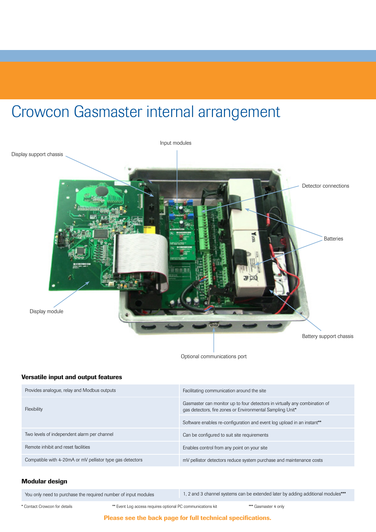# Crowcon Gasmaster internal arrangement



Optional communications port

### Versatile input and output features

| Provides analogue, relay and Modbus outputs               | Facilitating communication around the site                                                                                              |  |
|-----------------------------------------------------------|-----------------------------------------------------------------------------------------------------------------------------------------|--|
| Flexibility                                               | Gasmaster can monitor up to four detectors in virtually any combination of<br>gas detectors, fire zones or Environmental Sampling Unit* |  |
|                                                           | Software enables re-configuration and event log upload in an instant**                                                                  |  |
| Two levels of independent alarm per channel               | Can be configured to suit site requirements                                                                                             |  |
| Remote inhibit and reset facilities                       | Enables control from any point on your site                                                                                             |  |
| Compatible with 4-20mA or mV pellistor type gas detectors | mV pellistor detectors reduce system purchase and maintenance costs                                                                     |  |

### Modular design

You only need to purchase the required number of input modules 1, 2 and 3 channel systems can be extended later by adding additional modules\*\*\*

\* Contact Crowcon for details \*\* Event Log access requires optional PC communications kit \*\*\* Gasmaster 4 only

Please see the back page for full technical specifications.